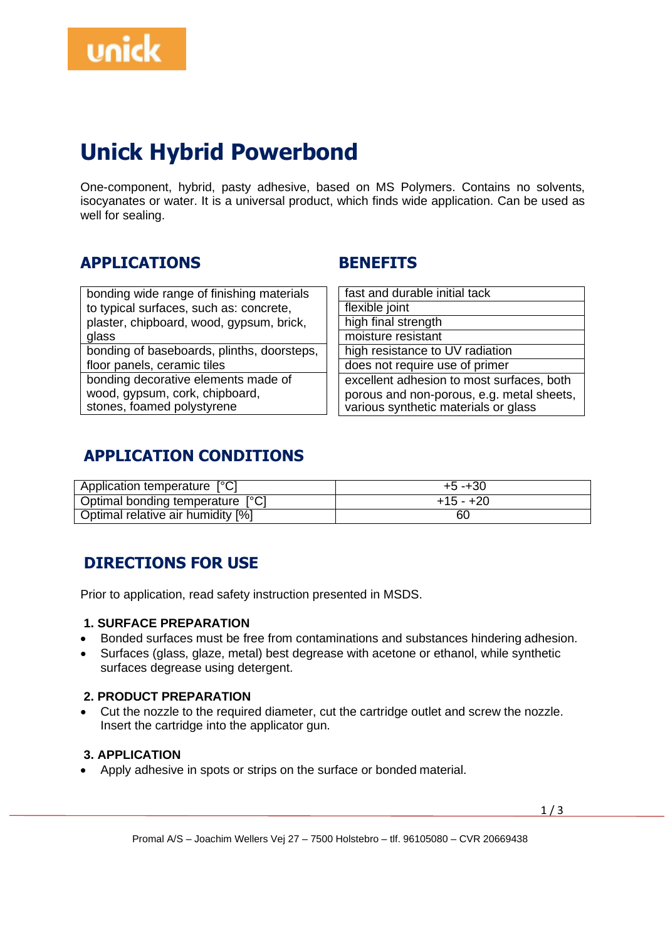

# **Unick Hybrid Powerbond**

One-component, hybrid, pasty adhesive, based on MS Polymers. Contains no solvents, isocyanates or water. It is a universal product, which finds wide application. Can be used as well for sealing.

## **APPLICATIONS**

### **BENEFITS**

| bonding wide range of finishing materials  |
|--------------------------------------------|
| to typical surfaces, such as: concrete,    |
| plaster, chipboard, wood, gypsum, brick,   |
| glass                                      |
| bonding of baseboards, plinths, doorsteps, |
| floor panels, ceramic tiles                |
| bonding decorative elements made of        |
| wood, gypsum, cork, chipboard,             |
| stones, foamed polystyrene                 |
|                                            |

| fast and durable initial tack             |
|-------------------------------------------|
| flexible joint                            |
| high final strength                       |
| moisture resistant                        |
| high resistance to UV radiation           |
| does not require use of primer            |
| excellent adhesion to most surfaces, both |
| porous and non-porous, e.g. metal sheets, |
| various synthetic materials or glass      |

## **APPLICATION CONDITIONS**

| Application temperature [°C]      | $+5 - +30$  |
|-----------------------------------|-------------|
| Optimal bonding temperature [°C]  | $+15 - +20$ |
| Optimal relative air humidity [%] | 60          |

# **DIRECTIONS FOR USE**

Prior to application, read safety instruction presented in MSDS.

#### **1. SURFACE PREPARATION**

- Bonded surfaces must be free from contaminations and substances hindering adhesion.
- Surfaces (glass, glaze, metal) best degrease with acetone or ethanol, while synthetic surfaces degrease using detergent.

#### **2. PRODUCT PREPARATION**

• Cut the nozzle to the required diameter, cut the cartridge outlet and screw the nozzle. Insert the cartridge into the applicator gun.

#### **3. APPLICATION**

• Apply adhesive in spots or strips on the surface or bonded material.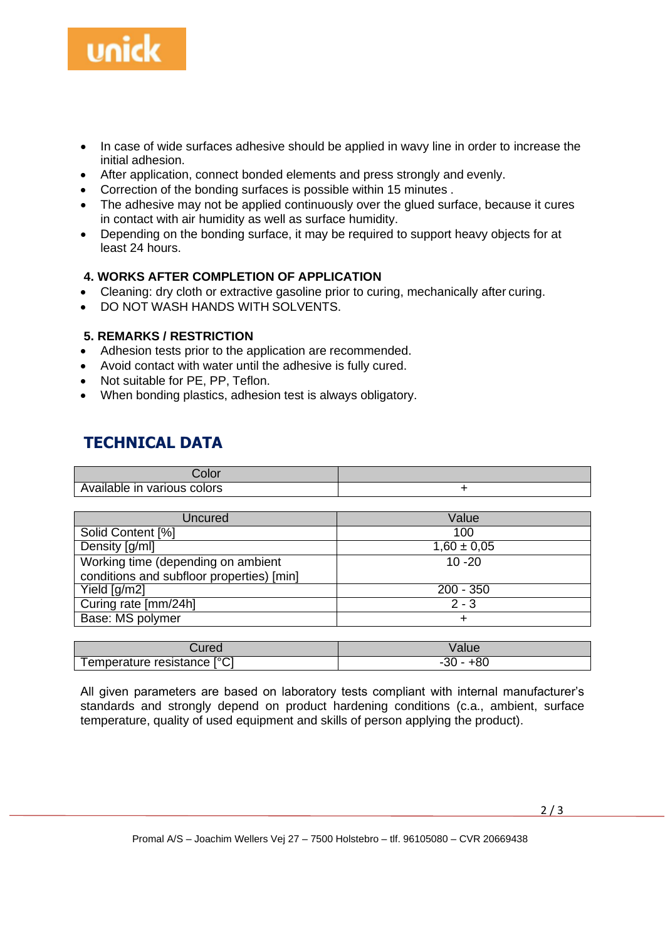

- In case of wide surfaces adhesive should be applied in wavy line in order to increase the initial adhesion.
- After application, connect bonded elements and press strongly and evenly.
- Correction of the bonding surfaces is possible within 15 minutes .
- The adhesive may not be applied continuously over the glued surface, because it cures in contact with air humidity as well as surface humidity.
- Depending on the bonding surface, it may be required to support heavy objects for at least 24 hours.

#### **4. WORKS AFTER COMPLETION OF APPLICATION**

- Cleaning: dry cloth or extractive gasoline prior to curing, mechanically after curing.
- DO NOT WASH HANDS WITH SOLVENTS.

#### **5. REMARKS / RESTRICTION**

- Adhesion tests prior to the application are recommended.
- Avoid contact with water until the adhesive is fully cured.
- Not suitable for PE, PP, Teflon.
- When bonding plastics, adhesion test is always obligatory.

### **TECHNICAL DATA**

| ∠olor                       |  |
|-----------------------------|--|
| Available in various colors |  |

| Uncured                                   | Value           |
|-------------------------------------------|-----------------|
| Solid Content [%]                         | 100             |
| Density [g/ml]                            | $1,60 \pm 0,05$ |
| Working time (depending on ambient        | $10 - 20$       |
| conditions and subfloor properties) [min] |                 |
| Yield $\lceil q/m2 \rceil$                | $200 - 350$     |
| Curing rate [mm/24h]                      | $2 - 3$         |
| Base: MS polymer                          | $\div$          |

| ∴ured                       | Value                 |
|-----------------------------|-----------------------|
| Temperature resistance [°C] | ົ<br>- - UC-<br>±o∪ - |

All given parameters are based on laboratory tests compliant with internal manufacturer's standards and strongly depend on product hardening conditions (c.a., ambient, surface temperature, quality of used equipment and skills of person applying the product).